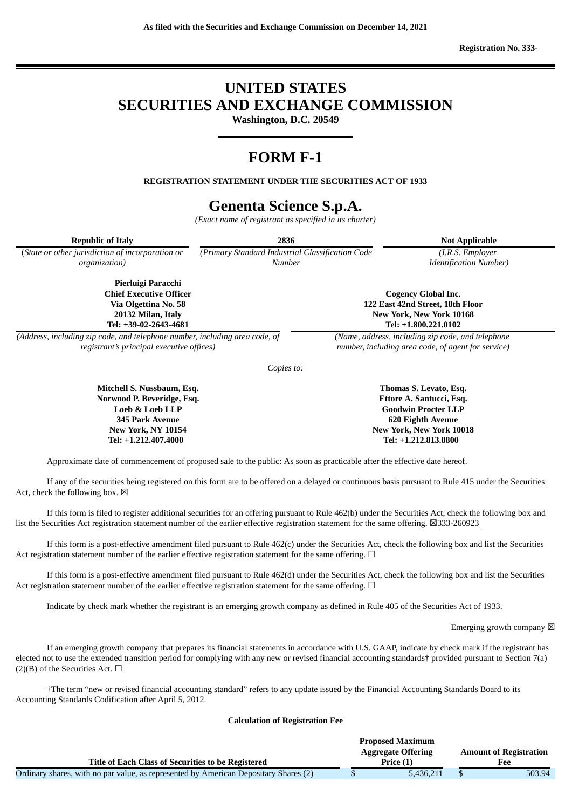**Registration No. 333-**

# **UNITED STATES SECURITIES AND EXCHANGE COMMISSION**

**Washington, D.C. 20549**

# **FORM F-1**

**REGISTRATION STATEMENT UNDER THE SECURITIES ACT OF 1933**

# **Genenta Science S.p.A.**

*(Exact name of registrant as specified in its charter)*

| <b>Republic of Italy</b>                                                                                                    | 2836                                                               |                                                                                                             | <b>Not Applicable</b>                             |  |
|-----------------------------------------------------------------------------------------------------------------------------|--------------------------------------------------------------------|-------------------------------------------------------------------------------------------------------------|---------------------------------------------------|--|
| (State or other jurisdiction of incorporation or<br>organization)                                                           | (Primary Standard Industrial Classification Code)<br><b>Number</b> |                                                                                                             | (I.R.S. Employer<br><b>Identification Number)</b> |  |
| Pierluigi Paracchi<br><b>Chief Executive Officer</b><br>Via Olgettina No. 58<br>20132 Milan, Italy<br>Tel: +39-02-2643-4681 |                                                                    | Cogency Global Inc.<br>122 East 42nd Street, 18th Floor<br>New York, New York 10168<br>Tel: +1.800.221.0102 |                                                   |  |
| (Address, including zip code, and telephone number, including area code, of<br>registrant's principal executive offices)    |                                                                    | (Name, address, including zip code, and telephone)<br>number, including area code, of agent for service)    |                                                   |  |
|                                                                                                                             | Copies to:                                                         |                                                                                                             |                                                   |  |
|                                                                                                                             |                                                                    |                                                                                                             |                                                   |  |

**Mitchell S. Nussbaum, Esq. Norwood P. Beveridge, Esq. Loeb & Loeb LLP 345 Park Avenue New York, NY 10154 Tel: +1.212.407.4000**

**Thomas S. Levato, Esq. Ettore A. Santucci, Esq. Goodwin Procter LLP 620 Eighth Avenue New York, New York 10018 Tel: +1.212.813.8800**

Approximate date of commencement of proposed sale to the public: As soon as practicable after the effective date hereof.

If any of the securities being registered on this form are to be offered on a delayed or continuous basis pursuant to Rule 415 under the Securities Act, check the following box.  $\boxtimes$ 

If this form is filed to register additional securities for an offering pursuant to Rule 462(b) under the Securities Act, check the following box and list the Securities Act registration statement number of the earlier effective registration statement for the same offering. ☒333-260923

If this form is a post-effective amendment filed pursuant to Rule 462(c) under the Securities Act, check the following box and list the Securities Act registration statement number of the earlier effective registration statement for the same offering. □

If this form is a post-effective amendment filed pursuant to Rule 462(d) under the Securities Act, check the following box and list the Securities Act registration statement number of the earlier effective registration statement for the same offering.  $\Box$ 

Indicate by check mark whether the registrant is an emerging growth company as defined in Rule 405 of the Securities Act of 1933.

Emerging growth company  $\boxtimes$ 

If an emerging growth company that prepares its financial statements in accordance with U.S. GAAP, indicate by check mark if the registrant has elected not to use the extended transition period for complying with any new or revised financial accounting standards† provided pursuant to Section 7(a) (2)(B) of the Securities Act.  $\Box$ 

†The term "new or revised financial accounting standard" refers to any update issued by the Financial Accounting Standards Board to its Accounting Standards Codification after April 5, 2012.

## **Calculation of Registration Fee**

|                                                                                      | <b>Proposed Maximum</b>                                    |           |  |        |
|--------------------------------------------------------------------------------------|------------------------------------------------------------|-----------|--|--------|
|                                                                                      | <b>Aggregate Offering</b><br><b>Amount of Registration</b> |           |  |        |
| Title of Each Class of Securities to be Registered                                   | Price (1)                                                  |           |  | Fee    |
| Ordinary shares, with no par value, as represented by American Depositary Shares (2) |                                                            | 5.436.211 |  | 503.94 |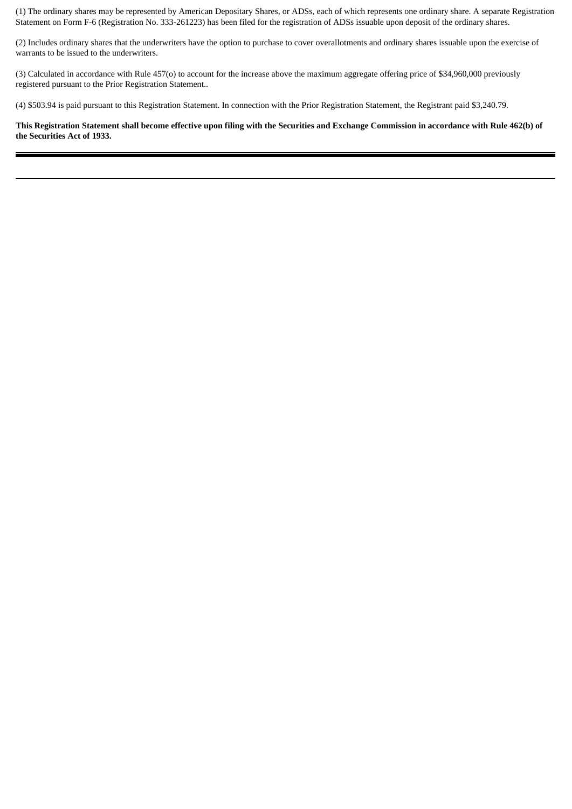(1) The ordinary shares may be represented by American Depositary Shares, or ADSs, each of which represents one ordinary share. A separate Registration Statement on Form F-6 (Registration No. 333-261223) has been filed for the registration of ADSs issuable upon deposit of the ordinary shares.

(2) Includes ordinary shares that the underwriters have the option to purchase to cover overallotments and ordinary shares issuable upon the exercise of warrants to be issued to the underwriters.

(3) Calculated in accordance with Rule 457(o) to account for the increase above the maximum aggregate offering price of \$34,960,000 previously registered pursuant to the Prior Registration Statement..

(4) \$503.94 is paid pursuant to this Registration Statement. In connection with the Prior Registration Statement, the Registrant paid \$3,240.79.

This Registration Statement shall become effective upon filing with the Securities and Exchange Commission in accordance with Rule 462(b) of **the Securities Act of 1933.**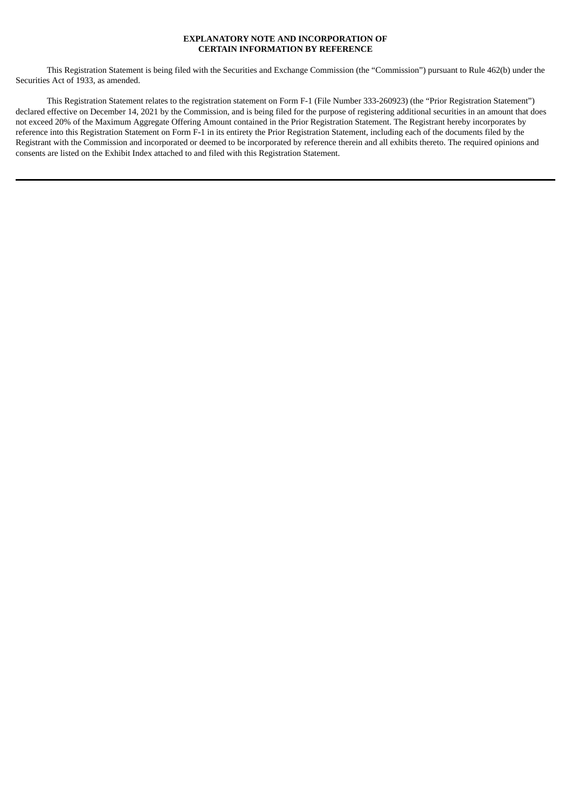#### **EXPLANATORY NOTE AND INCORPORATION OF CERTAIN INFORMATION BY REFERENCE**

This Registration Statement is being filed with the Securities and Exchange Commission (the "Commission") pursuant to Rule 462(b) under the Securities Act of 1933, as amended.

This Registration Statement relates to the registration statement on Form F-1 (File Number 333-260923) (the "Prior Registration Statement") declared effective on December 14, 2021 by the Commission, and is being filed for the purpose of registering additional securities in an amount that does not exceed 20% of the Maximum Aggregate Offering Amount contained in the Prior Registration Statement. The Registrant hereby incorporates by reference into this Registration Statement on Form F-1 in its entirety the Prior Registration Statement, including each of the documents filed by the Registrant with the Commission and incorporated or deemed to be incorporated by reference therein and all exhibits thereto. The required opinions and consents are listed on the Exhibit Index attached to and filed with this Registration Statement.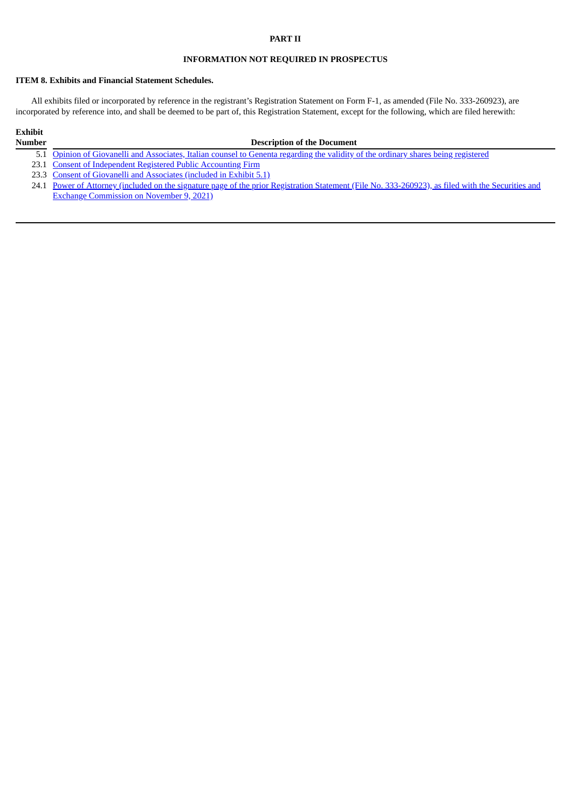# **PART II**

## **INFORMATION NOT REQUIRED IN PROSPECTUS**

#### **ITEM 8. Exhibits and Financial Statement Schedules.**

All exhibits filed or incorporated by reference in the registrant's Registration Statement on Form F-1, as amended (File No. 333-260923), are incorporated by reference into, and shall be deemed to be part of, this Registration Statement, except for the following, which are filed herewith:

# **Exhibit**

#### **Number Description of the Document**

- 5.1 Opinion of Giovanelli and [Associates,](#page-6-0) Italian counsel to Genenta regarding the validity of the ordinary shares being registered
- 23.1 Consent of [Independent](#page-11-0) Registered Public Accounting Firm
- 23.3 Consent of Giovanelli and [Associates](#page-6-0) (included in Exhibit 5.1)
- 24.1 Power of Attorney (included on the signature page of the prior Registration Statement (File No. [333-260923\),](https://www.sec.gov/Archives/edgar/data/1838716/000149315221027683/formf-1.htm#poa_1) as filed with the Securities and Exchange Commission on November 9, 2021)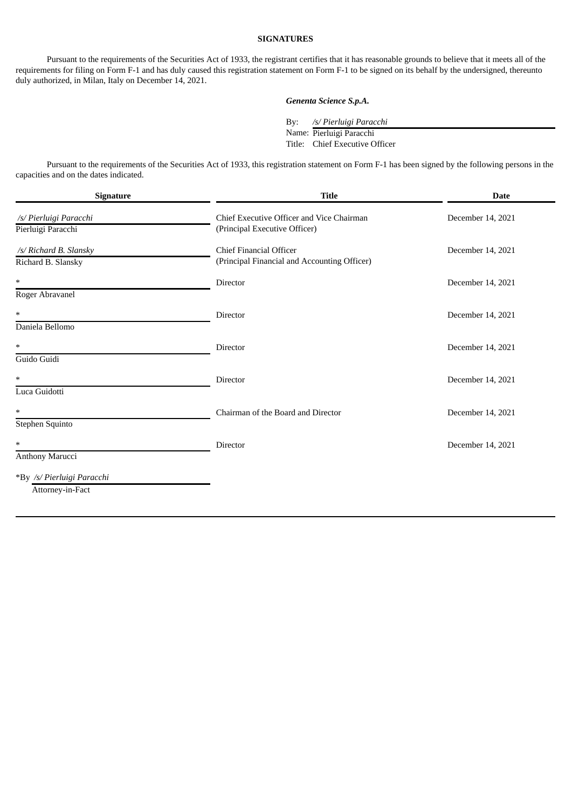# **SIGNATURES**

Pursuant to the requirements of the Securities Act of 1933, the registrant certifies that it has reasonable grounds to believe that it meets all of the requirements for filing on Form F-1 and has duly caused this registration statement on Form F-1 to be signed on its behalf by the undersigned, thereunto duly authorized, in Milan, Italy on December 14, 2021.

# *Genenta Science S.p.A.*

By: */s/ Pierluigi Paracchi*

Name: Pierluigi Paracchi

Title: Chief Executive Officer

Pursuant to the requirements of the Securities Act of 1933, this registration statement on Form F-1 has been signed by the following persons in the capacities and on the dates indicated.

| <b>Signature</b>           | <b>Title</b>                                 | <b>Date</b>       |  |
|----------------------------|----------------------------------------------|-------------------|--|
| /s/ Pierluigi Paracchi     | Chief Executive Officer and Vice Chairman    | December 14, 2021 |  |
| Pierluigi Paracchi         | (Principal Executive Officer)                |                   |  |
| /s/ Richard B. Slansky     | <b>Chief Financial Officer</b>               | December 14, 2021 |  |
| Richard B. Slansky         | (Principal Financial and Accounting Officer) |                   |  |
| $\ast$                     | Director                                     | December 14, 2021 |  |
| Roger Abravanel            |                                              |                   |  |
| $\ast$                     | Director                                     | December 14, 2021 |  |
| Daniela Bellomo            |                                              |                   |  |
| $\ast$                     | Director                                     | December 14, 2021 |  |
| Guido Guidi                |                                              |                   |  |
| $\ast$                     | Director                                     | December 14, 2021 |  |
| Luca Guidotti              |                                              |                   |  |
| $\ast$                     | Chairman of the Board and Director           | December 14, 2021 |  |
| Stephen Squinto            |                                              |                   |  |
| $\ast$                     | Director                                     | December 14, 2021 |  |
| Anthony Marucci            |                                              |                   |  |
| *By /s/ Pierluigi Paracchi |                                              |                   |  |
| Attorney-in-Fact           |                                              |                   |  |
|                            |                                              |                   |  |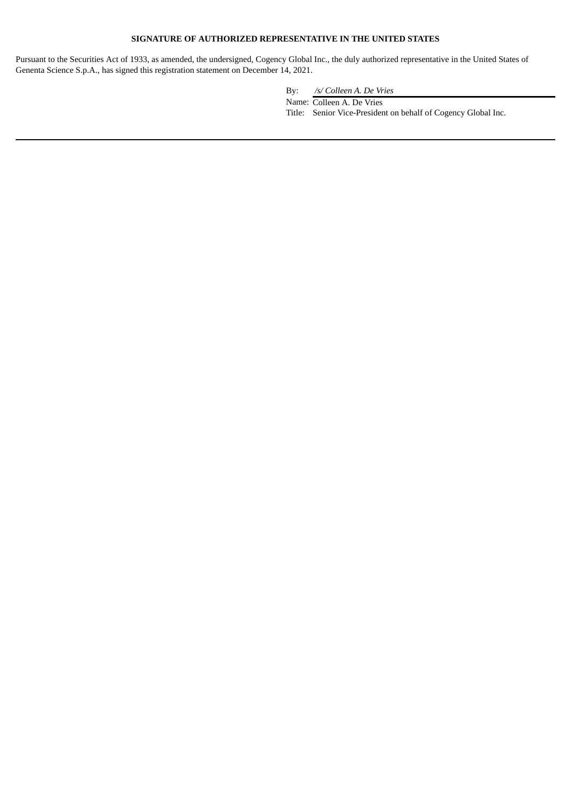# **SIGNATURE OF AUTHORIZED REPRESENTATIVE IN THE UNITED STATES**

Pursuant to the Securities Act of 1933, as amended, the undersigned, Cogency Global Inc., the duly authorized representative in the United States of Genenta Science S.p.A., has signed this registration statement on December 14, 2021.

By: */s/ Colleen A. De Vries*

Name: Colleen A. De Vries

Title: Senior Vice-President on behalf of Cogency Global Inc.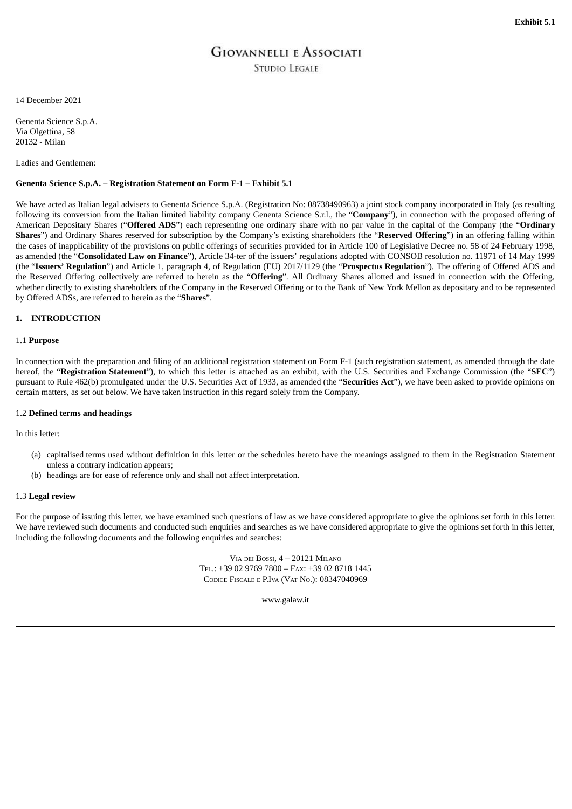# **GIOVANNELLI E ASSOCIATI**

**STUDIO LEGALE** 

<span id="page-6-0"></span>14 December 2021

Genenta Science S.p.A. Via Olgettina, 58 20132 - Milan

Ladies and Gentlemen:

#### **Genenta Science S.p.A. – Registration Statement on Form F-1 – Exhibit 5.1**

We have acted as Italian legal advisers to Genenta Science S.p.A. (Registration No: 08738490963) a joint stock company incorporated in Italy (as resulting following its conversion from the Italian limited liability company Genenta Science S.r.l., the "**Company**"), in connection with the proposed offering of American Depositary Shares ("**Offered ADS**") each representing one ordinary share with no par value in the capital of the Company (the "**Ordinary Shares**") and Ordinary Shares reserved for subscription by the Company's existing shareholders (the "**Reserved Offering**") in an offering falling within the cases of inapplicability of the provisions on public offerings of securities provided for in Article 100 of Legislative Decree no. 58 of 24 February 1998, as amended (the "**Consolidated Law on Finance**"), Article 34-ter of the issuers' regulations adopted with CONSOB resolution no. 11971 of 14 May 1999 (the "**Issuers' Regulation**") and Article 1, paragraph 4, of Regulation (EU) 2017/1129 (the "**Prospectus Regulation**"). The offering of Offered ADS and the Reserved Offering collectively are referred to herein as the "**Offering**". All Ordinary Shares allotted and issued in connection with the Offering, whether directly to existing shareholders of the Company in the Reserved Offering or to the Bank of New York Mellon as depositary and to be represented by Offered ADSs, are referred to herein as the "**Shares**".

#### **1. INTRODUCTION**

# 1.1 **Purpose**

In connection with the preparation and filing of an additional registration statement on Form F-1 (such registration statement, as amended through the date hereof, the "**Registration Statement**"), to which this letter is attached as an exhibit, with the U.S. Securities and Exchange Commission (the "**SEC**") pursuant to Rule 462(b) promulgated under the U.S. Securities Act of 1933, as amended (the "**Securities Act**"), we have been asked to provide opinions on certain matters, as set out below. We have taken instruction in this regard solely from the Company.

#### 1.2 **Defined terms and headings**

In this letter:

- (a) capitalised terms used without definition in this letter or the schedules hereto have the meanings assigned to them in the Registration Statement unless a contrary indication appears;
- (b) headings are for ease of reference only and shall not affect interpretation.

#### 1.3 **Legal review**

For the purpose of issuing this letter, we have examined such questions of law as we have considered appropriate to give the opinions set forth in this letter. We have reviewed such documents and conducted such enquiries and searches as we have considered appropriate to give the opinions set forth in this letter, including the following documents and the following enquiries and searches:

> VIA DEI BOSSI, 4 – 20121 MILANO TEL.: +39 02 9769 7800 – FAX: +39 02 8718 1445 CODICE FISCALE <sup>E</sup> P.IVA (VAT NO.): 08347040969

> > www.galaw.it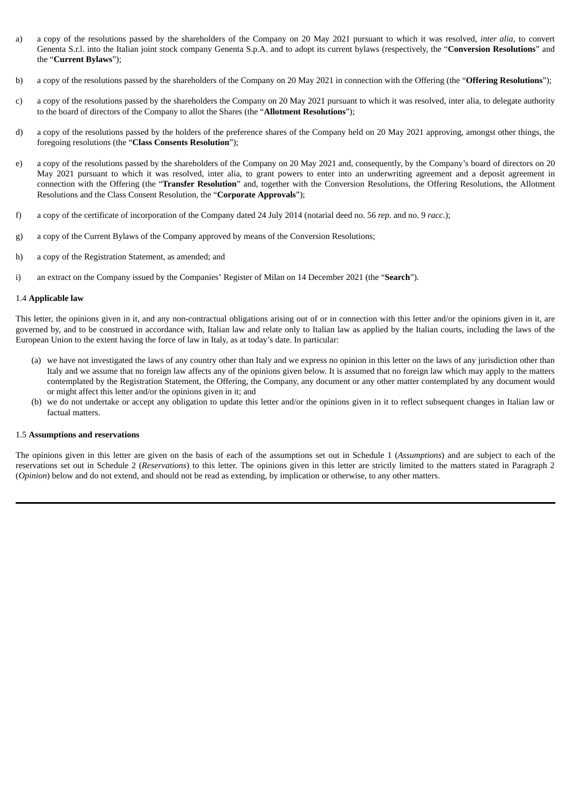- a) a copy of the resolutions passed by the shareholders of the Company on 20 May 2021 pursuant to which it was resolved, *inter alia*, to convert Genenta S.r.l. into the Italian joint stock company Genenta S.p.A. and to adopt its current bylaws (respectively, the "**Conversion Resolutions**" and the "**Current Bylaws**");
- b) a copy of the resolutions passed by the shareholders of the Company on 20 May 2021 in connection with the Offering (the "**Offering Resolutions**");
- c) a copy of the resolutions passed by the shareholders the Company on 20 May 2021 pursuant to which it was resolved, inter alia, to delegate authority to the board of directors of the Company to allot the Shares (the "**Allotment Resolutions**");
- d) a copy of the resolutions passed by the holders of the preference shares of the Company held on 20 May 2021 approving, amongst other things, the foregoing resolutions (the "**Class Consents Resolution**");
- e) a copy of the resolutions passed by the shareholders of the Company on 20 May 2021 and, consequently, by the Company's board of directors on 20 May 2021 pursuant to which it was resolved, inter alia, to grant powers to enter into an underwriting agreement and a deposit agreement in connection with the Offering (the "**Transfer Resolution**" and, together with the Conversion Resolutions, the Offering Resolutions, the Allotment Resolutions and the Class Consent Resolution, the "**Corporate Approvals**");
- f) a copy of the certificate of incorporation of the Company dated 24 July 2014 (notarial deed no. 56 *rep*. and no. 9 *racc*.);
- g) a copy of the Current Bylaws of the Company approved by means of the Conversion Resolutions;
- h) a copy of the Registration Statement, as amended; and
- i) an extract on the Company issued by the Companies' Register of Milan on 14 December 2021 (the "**Search**").

#### 1.4 **Applicable law**

This letter, the opinions given in it, and any non-contractual obligations arising out of or in connection with this letter and/or the opinions given in it, are governed by, and to be construed in accordance with, Italian law and relate only to Italian law as applied by the Italian courts, including the laws of the European Union to the extent having the force of law in Italy, as at today's date. In particular:

- (a) we have not investigated the laws of any country other than Italy and we express no opinion in this letter on the laws of any jurisdiction other than Italy and we assume that no foreign law affects any of the opinions given below. It is assumed that no foreign law which may apply to the matters contemplated by the Registration Statement, the Offering, the Company, any document or any other matter contemplated by any document would or might affect this letter and/or the opinions given in it; and
- (b) we do not undertake or accept any obligation to update this letter and/or the opinions given in it to reflect subsequent changes in Italian law or factual matters.

#### 1.5 **Assumptions and reservations**

The opinions given in this letter are given on the basis of each of the assumptions set out in Schedule 1 (*Assumptions*) and are subject to each of the reservations set out in Schedule 2 (*Reservations*) to this letter. The opinions given in this letter are strictly limited to the matters stated in Paragraph 2 (*Opinion*) below and do not extend, and should not be read as extending, by implication or otherwise, to any other matters.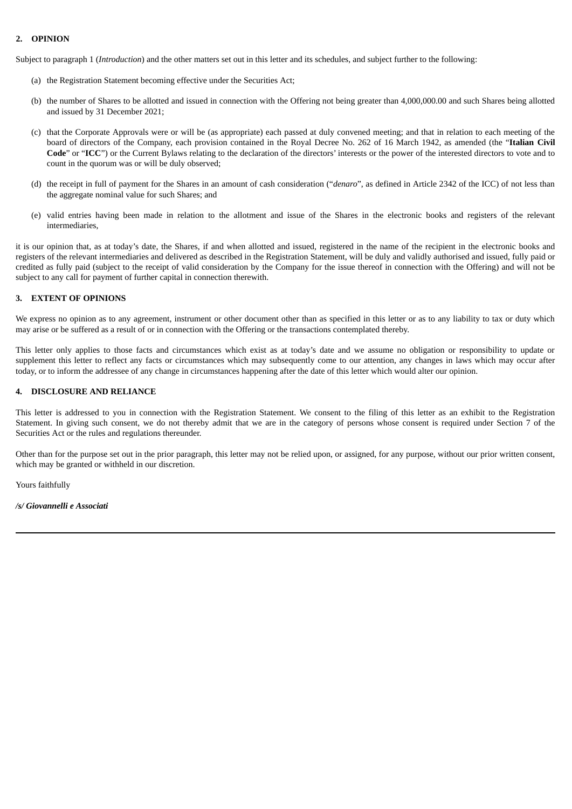# **2. OPINION**

Subject to paragraph 1 (*Introduction*) and the other matters set out in this letter and its schedules, and subject further to the following:

- (a) the Registration Statement becoming effective under the Securities Act;
- (b) the number of Shares to be allotted and issued in connection with the Offering not being greater than 4,000,000.00 and such Shares being allotted and issued by 31 December 2021;
- (c) that the Corporate Approvals were or will be (as appropriate) each passed at duly convened meeting; and that in relation to each meeting of the board of directors of the Company, each provision contained in the Royal Decree No. 262 of 16 March 1942, as amended (the "**Italian Civil Code**" or "**ICC**") or the Current Bylaws relating to the declaration of the directors' interests or the power of the interested directors to vote and to count in the quorum was or will be duly observed;
- (d) the receipt in full of payment for the Shares in an amount of cash consideration ("*denaro*", as defined in Article 2342 of the ICC) of not less than the aggregate nominal value for such Shares; and
- (e) valid entries having been made in relation to the allotment and issue of the Shares in the electronic books and registers of the relevant intermediaries,

it is our opinion that, as at today's date, the Shares, if and when allotted and issued, registered in the name of the recipient in the electronic books and registers of the relevant intermediaries and delivered as described in the Registration Statement, will be duly and validly authorised and issued, fully paid or credited as fully paid (subject to the receipt of valid consideration by the Company for the issue thereof in connection with the Offering) and will not be subject to any call for payment of further capital in connection therewith.

#### **3. EXTENT OF OPINIONS**

We express no opinion as to any agreement, instrument or other document other than as specified in this letter or as to any liability to tax or duty which may arise or be suffered as a result of or in connection with the Offering or the transactions contemplated thereby.

This letter only applies to those facts and circumstances which exist as at today's date and we assume no obligation or responsibility to update or supplement this letter to reflect any facts or circumstances which may subsequently come to our attention, any changes in laws which may occur after today, or to inform the addressee of any change in circumstances happening after the date of this letter which would alter our opinion.

#### **4. DISCLOSURE AND RELIANCE**

This letter is addressed to you in connection with the Registration Statement. We consent to the filing of this letter as an exhibit to the Registration Statement. In giving such consent, we do not thereby admit that we are in the category of persons whose consent is required under Section 7 of the Securities Act or the rules and regulations thereunder.

Other than for the purpose set out in the prior paragraph, this letter may not be relied upon, or assigned, for any purpose, without our prior written consent, which may be granted or withheld in our discretion.

Yours faithfully

*/s/ Giovannelli e Associati*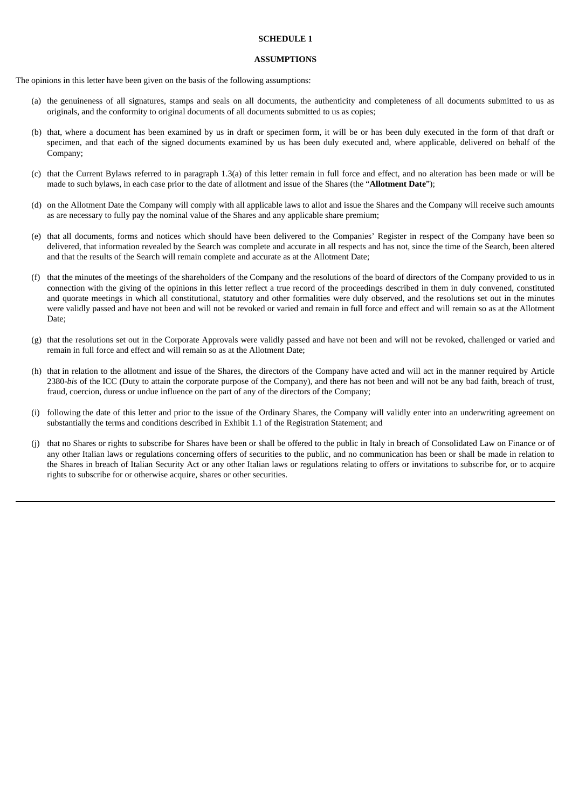#### **SCHEDULE 1**

#### **ASSUMPTIONS**

The opinions in this letter have been given on the basis of the following assumptions:

- (a) the genuineness of all signatures, stamps and seals on all documents, the authenticity and completeness of all documents submitted to us as originals, and the conformity to original documents of all documents submitted to us as copies;
- (b) that, where a document has been examined by us in draft or specimen form, it will be or has been duly executed in the form of that draft or specimen, and that each of the signed documents examined by us has been duly executed and, where applicable, delivered on behalf of the Company;
- (c) that the Current Bylaws referred to in paragraph 1.3(a) of this letter remain in full force and effect, and no alteration has been made or will be made to such bylaws, in each case prior to the date of allotment and issue of the Shares (the "**Allotment Date**");
- (d) on the Allotment Date the Company will comply with all applicable laws to allot and issue the Shares and the Company will receive such amounts as are necessary to fully pay the nominal value of the Shares and any applicable share premium;
- (e) that all documents, forms and notices which should have been delivered to the Companies' Register in respect of the Company have been so delivered, that information revealed by the Search was complete and accurate in all respects and has not, since the time of the Search, been altered and that the results of the Search will remain complete and accurate as at the Allotment Date;
- (f) that the minutes of the meetings of the shareholders of the Company and the resolutions of the board of directors of the Company provided to us in connection with the giving of the opinions in this letter reflect a true record of the proceedings described in them in duly convened, constituted and quorate meetings in which all constitutional, statutory and other formalities were duly observed, and the resolutions set out in the minutes were validly passed and have not been and will not be revoked or varied and remain in full force and effect and will remain so as at the Allotment Date;
- (g) that the resolutions set out in the Corporate Approvals were validly passed and have not been and will not be revoked, challenged or varied and remain in full force and effect and will remain so as at the Allotment Date;
- (h) that in relation to the allotment and issue of the Shares, the directors of the Company have acted and will act in the manner required by Article 2380-*bis* of the ICC (Duty to attain the corporate purpose of the Company), and there has not been and will not be any bad faith, breach of trust, fraud, coercion, duress or undue influence on the part of any of the directors of the Company;
- (i) following the date of this letter and prior to the issue of the Ordinary Shares, the Company will validly enter into an underwriting agreement on substantially the terms and conditions described in Exhibit 1.1 of the Registration Statement; and
- (j) that no Shares or rights to subscribe for Shares have been or shall be offered to the public in Italy in breach of Consolidated Law on Finance or of any other Italian laws or regulations concerning offers of securities to the public, and no communication has been or shall be made in relation to the Shares in breach of Italian Security Act or any other Italian laws or regulations relating to offers or invitations to subscribe for, or to acquire rights to subscribe for or otherwise acquire, shares or other securities.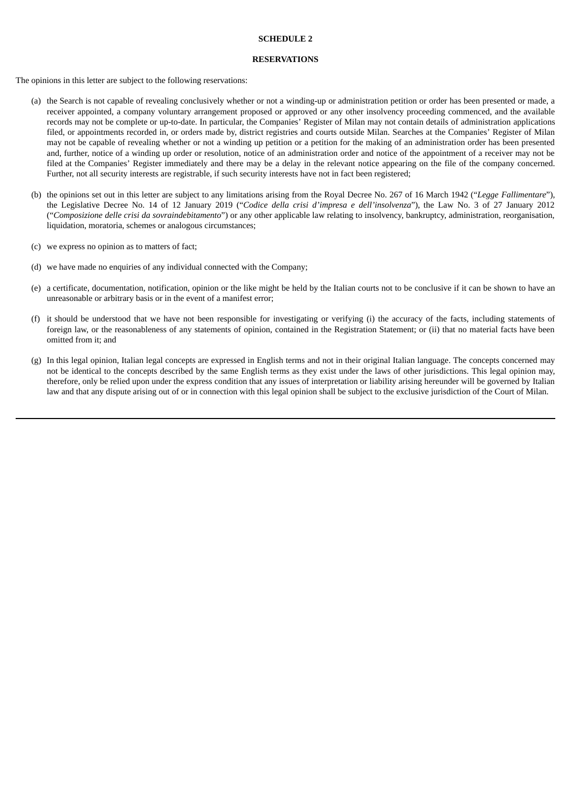## **SCHEDULE 2**

#### **RESERVATIONS**

The opinions in this letter are subject to the following reservations:

- (a) the Search is not capable of revealing conclusively whether or not a winding-up or administration petition or order has been presented or made, a receiver appointed, a company voluntary arrangement proposed or approved or any other insolvency proceeding commenced, and the available records may not be complete or up-to-date. In particular, the Companies' Register of Milan may not contain details of administration applications filed, or appointments recorded in, or orders made by, district registries and courts outside Milan. Searches at the Companies' Register of Milan may not be capable of revealing whether or not a winding up petition or a petition for the making of an administration order has been presented and, further, notice of a winding up order or resolution, notice of an administration order and notice of the appointment of a receiver may not be filed at the Companies' Register immediately and there may be a delay in the relevant notice appearing on the file of the company concerned. Further, not all security interests are registrable, if such security interests have not in fact been registered;
- (b) the opinions set out in this letter are subject to any limitations arising from the Royal Decree No. 267 of 16 March 1942 ("*Legge Fallimentare*"), the Legislative Decree No. 14 of 12 January 2019 ("*Codice della crisi d'impresa e dell'insolvenza*"), the Law No. 3 of 27 January 2012 ("*Composizione delle crisi da sovraindebitamento*") or any other applicable law relating to insolvency, bankruptcy, administration, reorganisation, liquidation, moratoria, schemes or analogous circumstances;
- (c) we express no opinion as to matters of fact;
- (d) we have made no enquiries of any individual connected with the Company;
- (e) a certificate, documentation, notification, opinion or the like might be held by the Italian courts not to be conclusive if it can be shown to have an unreasonable or arbitrary basis or in the event of a manifest error;
- (f) it should be understood that we have not been responsible for investigating or verifying (i) the accuracy of the facts, including statements of foreign law, or the reasonableness of any statements of opinion, contained in the Registration Statement; or (ii) that no material facts have been omitted from it; and
- (g) In this legal opinion, Italian legal concepts are expressed in English terms and not in their original Italian language. The concepts concerned may not be identical to the concepts described by the same English terms as they exist under the laws of other jurisdictions. This legal opinion may, therefore, only be relied upon under the express condition that any issues of interpretation or liability arising hereunder will be governed by Italian law and that any dispute arising out of or in connection with this legal opinion shall be subject to the exclusive jurisdiction of the Court of Milan.